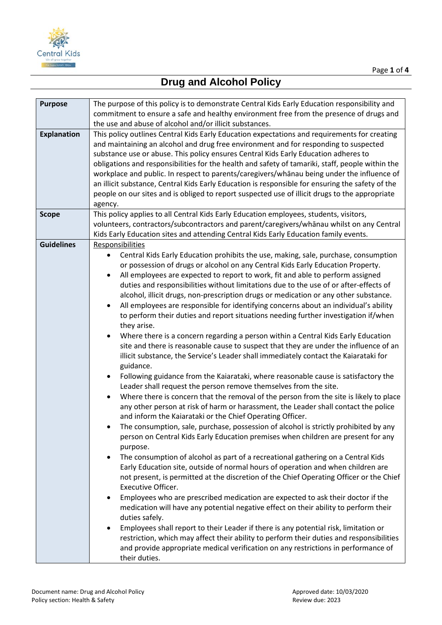

## **Drug and Alcohol Policy**

| <b>Purpose</b>     | The purpose of this policy is to demonstrate Central Kids Early Education responsibility and        |
|--------------------|-----------------------------------------------------------------------------------------------------|
|                    | commitment to ensure a safe and healthy environment free from the presence of drugs and             |
|                    | the use and abuse of alcohol and/or illicit substances.                                             |
| <b>Explanation</b> | This policy outlines Central Kids Early Education expectations and requirements for creating        |
|                    | and maintaining an alcohol and drug free environment and for responding to suspected                |
|                    | substance use or abuse. This policy ensures Central Kids Early Education adheres to                 |
|                    | obligations and responsibilities for the health and safety of tamariki, staff, people within the    |
|                    | workplace and public. In respect to parents/caregivers/whanau being under the influence of          |
|                    | an illicit substance, Central Kids Early Education is responsible for ensuring the safety of the    |
|                    | people on our sites and is obliged to report suspected use of illicit drugs to the appropriate      |
|                    |                                                                                                     |
|                    | agency.                                                                                             |
| <b>Scope</b>       | This policy applies to all Central Kids Early Education employees, students, visitors,              |
|                    | volunteers, contractors/subcontractors and parent/caregivers/whanau whilst on any Central           |
|                    | Kids Early Education sites and attending Central Kids Early Education family events.                |
| <b>Guidelines</b>  | Responsibilities                                                                                    |
|                    | Central Kids Early Education prohibits the use, making, sale, purchase, consumption<br>$\bullet$    |
|                    | or possession of drugs or alcohol on any Central Kids Early Education Property.                     |
|                    | All employees are expected to report to work, fit and able to perform assigned                      |
|                    | duties and responsibilities without limitations due to the use of or after-effects of               |
|                    | alcohol, illicit drugs, non-prescription drugs or medication or any other substance.                |
|                    | All employees are responsible for identifying concerns about an individual's ability                |
|                    | to perform their duties and report situations needing further investigation if/when                 |
|                    | they arise.                                                                                         |
|                    | Where there is a concern regarding a person within a Central Kids Early Education<br>$\bullet$      |
|                    | site and there is reasonable cause to suspect that they are under the influence of an               |
|                    | illicit substance, the Service's Leader shall immediately contact the Kaiarataki for                |
|                    | guidance.                                                                                           |
|                    | Following guidance from the Kaiarataki, where reasonable cause is satisfactory the<br>$\bullet$     |
|                    | Leader shall request the person remove themselves from the site.                                    |
|                    | Where there is concern that the removal of the person from the site is likely to place<br>$\bullet$ |
|                    | any other person at risk of harm or harassment, the Leader shall contact the police                 |
|                    | and inform the Kaiarataki or the Chief Operating Officer.                                           |
|                    | The consumption, sale, purchase, possession of alcohol is strictly prohibited by any                |
|                    | person on Central Kids Early Education premises when children are present for any                   |
|                    | purpose.                                                                                            |
|                    | The consumption of alcohol as part of a recreational gathering on a Central Kids                    |
|                    | Early Education site, outside of normal hours of operation and when children are                    |
|                    | not present, is permitted at the discretion of the Chief Operating Officer or the Chief             |
|                    | Executive Officer.                                                                                  |
|                    | Employees who are prescribed medication are expected to ask their doctor if the<br>$\bullet$        |
|                    | medication will have any potential negative effect on their ability to perform their                |
|                    | duties safely.                                                                                      |
|                    | Employees shall report to their Leader if there is any potential risk, limitation or<br>$\bullet$   |
|                    | restriction, which may affect their ability to perform their duties and responsibilities            |
|                    | and provide appropriate medical verification on any restrictions in performance of                  |
|                    | their duties.                                                                                       |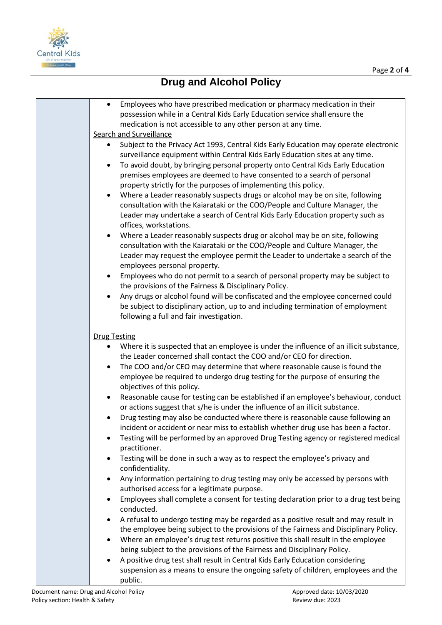



## **Drug and Alcohol Policy**

| Employees who have prescribed medication or pharmacy medication in their<br>$\bullet$              |
|----------------------------------------------------------------------------------------------------|
| possession while in a Central Kids Early Education service shall ensure the                        |
| medication is not accessible to any other person at any time.                                      |
| Search and Surveillance                                                                            |
| Subject to the Privacy Act 1993, Central Kids Early Education may operate electronic               |
| surveillance equipment within Central Kids Early Education sites at any time.                      |
| To avoid doubt, by bringing personal property onto Central Kids Early Education<br>$\bullet$       |
| premises employees are deemed to have consented to a search of personal                            |
|                                                                                                    |
| property strictly for the purposes of implementing this policy.                                    |
| Where a Leader reasonably suspects drugs or alcohol may be on site, following                      |
| consultation with the Kaiarataki or the COO/People and Culture Manager, the                        |
| Leader may undertake a search of Central Kids Early Education property such as                     |
| offices, workstations.                                                                             |
| Where a Leader reasonably suspects drug or alcohol may be on site, following<br>$\bullet$          |
| consultation with the Kaiarataki or the COO/People and Culture Manager, the                        |
| Leader may request the employee permit the Leader to undertake a search of the                     |
| employees personal property.                                                                       |
| Employees who do not permit to a search of personal property may be subject to<br>$\bullet$        |
| the provisions of the Fairness & Disciplinary Policy.                                              |
|                                                                                                    |
| Any drugs or alcohol found will be confiscated and the employee concerned could                    |
| be subject to disciplinary action, up to and including termination of employment                   |
| following a full and fair investigation.                                                           |
|                                                                                                    |
| <b>Drug Testing</b>                                                                                |
| Where it is suspected that an employee is under the influence of an illicit substance,             |
| the Leader concerned shall contact the COO and/or CEO for direction.                               |
| The COO and/or CEO may determine that where reasonable cause is found the                          |
| employee be required to undergo drug testing for the purpose of ensuring the                       |
| objectives of this policy.                                                                         |
| Reasonable cause for testing can be established if an employee's behaviour, conduct<br>$\bullet$   |
| or actions suggest that s/he is under the influence of an illicit substance.                       |
| Drug testing may also be conducted where there is reasonable cause following an                    |
| incident or accident or near miss to establish whether drug use has been a factor.                 |
| Testing will be performed by an approved Drug Testing agency or registered medical                 |
| practitioner.                                                                                      |
|                                                                                                    |
| Testing will be done in such a way as to respect the employee's privacy and<br>$\bullet$           |
| confidentiality.                                                                                   |
| Any information pertaining to drug testing may only be accessed by persons with                    |
| authorised access for a legitimate purpose.                                                        |
| Employees shall complete a consent for testing declaration prior to a drug test being<br>$\bullet$ |
| conducted.                                                                                         |
| A refusal to undergo testing may be regarded as a positive result and may result in<br>٠           |
| the employee being subject to the provisions of the Fairness and Disciplinary Policy.              |
| Where an employee's drug test returns positive this shall result in the employee<br>$\bullet$      |
| being subject to the provisions of the Fairness and Disciplinary Policy.                           |
| A positive drug test shall result in Central Kids Early Education considering                      |
| suspension as a means to ensure the ongoing safety of children, employees and the                  |
| public.                                                                                            |
|                                                                                                    |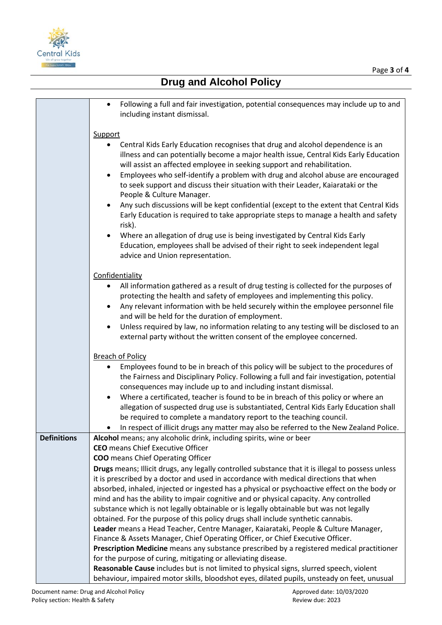

|                    | Following a full and fair investigation, potential consequences may include up to and<br>including instant dismissal.                                                                                                                                                       |
|--------------------|-----------------------------------------------------------------------------------------------------------------------------------------------------------------------------------------------------------------------------------------------------------------------------|
|                    | <b>Support</b>                                                                                                                                                                                                                                                              |
|                    | Central Kids Early Education recognises that drug and alcohol dependence is an<br>٠<br>illness and can potentially become a major health issue, Central Kids Early Education<br>will assist an affected employee in seeking support and rehabilitation.                     |
|                    | Employees who self-identify a problem with drug and alcohol abuse are encouraged<br>$\bullet$<br>to seek support and discuss their situation with their Leader, Kaiarataki or the<br>People & Culture Manager.                                                              |
|                    | Any such discussions will be kept confidential (except to the extent that Central Kids<br>$\bullet$<br>Early Education is required to take appropriate steps to manage a health and safety<br>risk).                                                                        |
|                    | Where an allegation of drug use is being investigated by Central Kids Early<br>٠<br>Education, employees shall be advised of their right to seek independent legal<br>advice and Union representation.                                                                      |
|                    | Confidentiality                                                                                                                                                                                                                                                             |
|                    | All information gathered as a result of drug testing is collected for the purposes of<br>$\bullet$<br>protecting the health and safety of employees and implementing this policy.<br>Any relevant information with be held securely within the employee personnel file<br>٠ |
|                    | and will be held for the duration of employment.                                                                                                                                                                                                                            |
|                    | Unless required by law, no information relating to any testing will be disclosed to an<br>$\bullet$<br>external party without the written consent of the employee concerned.                                                                                                |
|                    | <b>Breach of Policy</b>                                                                                                                                                                                                                                                     |
|                    | Employees found to be in breach of this policy will be subject to the procedures of<br>٠                                                                                                                                                                                    |
|                    | the Fairness and Disciplinary Policy. Following a full and fair investigation, potential<br>consequences may include up to and including instant dismissal.                                                                                                                 |
|                    | Where a certificated, teacher is found to be in breach of this policy or where an<br>$\bullet$                                                                                                                                                                              |
|                    | allegation of suspected drug use is substantiated, Central Kids Early Education shall                                                                                                                                                                                       |
|                    | be required to complete a mandatory report to the teaching council.                                                                                                                                                                                                         |
| <b>Definitions</b> | In respect of illicit drugs any matter may also be referred to the New Zealand Police.<br>٠<br>Alcohol means; any alcoholic drink, including spirits, wine or beer                                                                                                          |
|                    | <b>CEO</b> means Chief Executive Officer                                                                                                                                                                                                                                    |
|                    | <b>COO</b> means Chief Operating Officer                                                                                                                                                                                                                                    |
|                    | Drugs means; Illicit drugs, any legally controlled substance that it is illegal to possess unless                                                                                                                                                                           |
|                    | it is prescribed by a doctor and used in accordance with medical directions that when                                                                                                                                                                                       |
|                    | absorbed, inhaled, injected or ingested has a physical or psychoactive effect on the body or<br>mind and has the ability to impair cognitive and or physical capacity. Any controlled                                                                                       |
|                    | substance which is not legally obtainable or is legally obtainable but was not legally                                                                                                                                                                                      |
|                    | obtained. For the purpose of this policy drugs shall include synthetic cannabis.                                                                                                                                                                                            |
|                    | Leader means a Head Teacher, Centre Manager, Kaiarataki, People & Culture Manager,                                                                                                                                                                                          |
|                    | Finance & Assets Manager, Chief Operating Officer, or Chief Executive Officer.<br>Prescription Medicine means any substance prescribed by a registered medical practitioner                                                                                                 |
|                    | for the purpose of curing, mitigating or alleviating disease.                                                                                                                                                                                                               |
|                    | Reasonable Cause includes but is not limited to physical signs, slurred speech, violent                                                                                                                                                                                     |
|                    | behaviour, impaired motor skills, bloodshot eyes, dilated pupils, unsteady on feet, unusual                                                                                                                                                                                 |